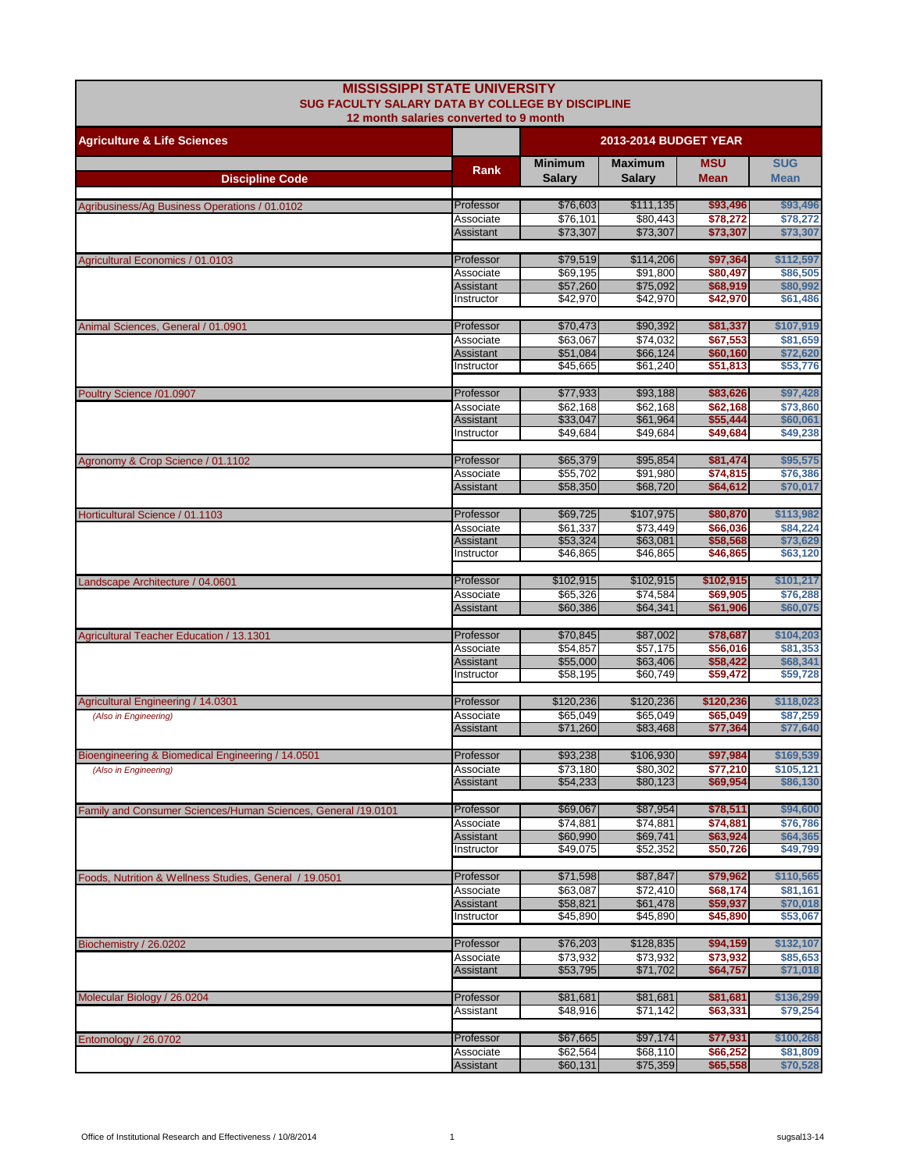| <b>MISSISSIPPI STATE UNIVERSITY</b><br>SUG FACULTY SALARY DATA BY COLLEGE BY DISCIPLINE<br>12 month salaries converted to 9 month |                                |                                 |                                 |                           |                           |  |
|-----------------------------------------------------------------------------------------------------------------------------------|--------------------------------|---------------------------------|---------------------------------|---------------------------|---------------------------|--|
| <b>Agriculture &amp; Life Sciences</b>                                                                                            |                                |                                 | <b>2013-2014 BUDGET YEAR</b>    |                           |                           |  |
| <b>Discipline Code</b>                                                                                                            | Rank                           | <b>Minimum</b><br><b>Salary</b> | <b>Maximum</b><br><b>Salary</b> | <b>MSU</b><br><b>Mean</b> | <b>SUG</b><br><b>Mean</b> |  |
|                                                                                                                                   |                                |                                 |                                 |                           |                           |  |
| Agribusiness/Ag Business Operations / 01.0102                                                                                     | Professor                      | \$76,603                        | \$111,135                       | \$93,496                  | \$93,496                  |  |
|                                                                                                                                   | Associate                      | \$76,101                        | \$80,443                        | \$78.272                  | \$78,272                  |  |
|                                                                                                                                   | Assistant                      | \$73,307                        | \$73,307                        | \$73,307                  | \$73,307                  |  |
| Agricultural Economics / 01.0103                                                                                                  | Professor                      | \$79,519                        | \$114,206                       | \$97,364                  | \$112,597                 |  |
|                                                                                                                                   | Associate                      | \$69,195                        | \$91,800                        | \$80,497                  | \$86,505                  |  |
|                                                                                                                                   | Assistant<br>Instructor        | \$57,260<br>\$42,970            | \$75,092<br>\$42,970            | \$68,919<br>\$42,970      | \$80,992<br>\$61,486      |  |
|                                                                                                                                   |                                |                                 |                                 |                           |                           |  |
| Animal Sciences, General / 01.0901                                                                                                | Professor                      | \$70,473                        | \$90,392                        | \$81,337                  | \$107,919                 |  |
|                                                                                                                                   | Associate                      | \$63,067                        | \$74,032                        | \$67,553                  | \$81,659<br>\$72,620      |  |
|                                                                                                                                   | <b>Assistant</b><br>Instructor | \$51,084<br>\$45,665            | \$66,124<br>\$61,240            | \$60,160<br>\$51,813      | \$53,776                  |  |
|                                                                                                                                   |                                |                                 |                                 |                           |                           |  |
| Poultry Science /01.0907                                                                                                          | Professor                      | \$77,933                        | \$93,188                        | \$83,626                  | \$97,428                  |  |
|                                                                                                                                   | Associate<br><b>Assistant</b>  | \$62,168<br>\$33,047            | \$62,168<br>\$61,964            | \$62,168<br>\$55,444      | \$73,860                  |  |
|                                                                                                                                   | Instructor                     | \$49,684                        | \$49.684                        | \$49,684                  | \$60,061<br>\$49,238      |  |
|                                                                                                                                   |                                |                                 |                                 |                           |                           |  |
| Agronomy & Crop Science / 01.1102                                                                                                 | Professor                      | \$65,379                        | \$95,854                        | \$81,474                  | \$95,575                  |  |
|                                                                                                                                   | Associate                      | \$55,702<br>\$58,350            | \$91,980                        | \$74,815                  | \$76,386                  |  |
|                                                                                                                                   | <b>Assistant</b>               |                                 | \$68,720                        | \$64,612                  | \$70,017                  |  |
| Horticultural Science / 01.1103                                                                                                   | Professor                      | \$69,725                        | \$107,975                       | \$80,870                  | \$113,982                 |  |
|                                                                                                                                   | Associate                      | \$61,337                        | \$73,449                        | \$66,036                  | \$84,224                  |  |
|                                                                                                                                   | <b>Assistant</b><br>Instructor | \$53,324<br>\$46,865            | \$63,081<br>\$46,865            | \$58,568<br>\$46,865      | \$73,629<br>\$63,120      |  |
|                                                                                                                                   |                                |                                 |                                 |                           |                           |  |
| Landscape Architecture / 04.0601                                                                                                  | Professor                      | \$102,915                       | \$102,915                       | \$102,915                 | \$101,217                 |  |
|                                                                                                                                   | Associate                      | \$65,326                        | \$74,584                        | \$69,905                  | \$76,288                  |  |
|                                                                                                                                   | <b>Assistant</b>               | \$60,386                        | \$64,341                        | \$61,906                  | \$60,075                  |  |
| Agricultural Teacher Education / 13.1301                                                                                          | Professor                      | \$70,845                        | \$87,002                        | \$78,687                  | \$104,203                 |  |
|                                                                                                                                   | Associate                      | \$54,857                        | \$57,175                        | \$56,016                  | \$81,353                  |  |
|                                                                                                                                   | <b>Assistant</b>               | \$55,000                        | \$63,406                        | \$58,422                  | \$68,341                  |  |
|                                                                                                                                   | Instructor                     | \$58,195                        | \$60,749                        | \$59,472                  | \$59,728                  |  |
| Agricultural Engineering / 14.0301                                                                                                | Professor                      | \$120,236                       | \$120,236                       | \$120,236                 | \$118,023                 |  |
| (Also in Engineering)                                                                                                             | Associate                      | \$65.049                        | \$65,049                        | \$65,049                  | \$87,259                  |  |
|                                                                                                                                   | Assistant                      | \$71,260                        | \$83,468                        | \$77,364                  | \$77,640                  |  |
| Bioengineering & Biomedical Engineering / 14.0501                                                                                 | Professor                      | \$93,238                        | \$106,930                       | \$97,984                  | \$169,539                 |  |
| (Also in Engineering)                                                                                                             | Associate                      | \$73,180                        | \$80,302                        | \$77,210                  | \$105,121                 |  |
|                                                                                                                                   | Assistant                      | \$54,233                        | \$80,123                        | \$69,954                  | \$86,130                  |  |
|                                                                                                                                   |                                |                                 |                                 |                           |                           |  |
| Family and Consumer Sciences/Human Sciences, General /19.0101                                                                     | Professor<br>Associate         | \$69,067<br>\$74,881            | \$87,954<br>\$74.881            | \$78,511<br>\$74,881      | \$94,600<br>\$76,786      |  |
|                                                                                                                                   | <b>Assistant</b>               | \$60,990                        | \$69,741                        | \$63,924                  | \$64,365                  |  |
|                                                                                                                                   | Instructor                     | \$49,075                        | \$52,352                        | \$50,726                  | \$49,799                  |  |
|                                                                                                                                   | Professor                      | \$71,598                        | \$87,847                        | \$79,962                  | \$110,565                 |  |
| Foods, Nutrition & Wellness Studies, General / 19.0501                                                                            | Associate                      | \$63,087                        | \$72,410                        | \$68,174                  | \$81,161                  |  |
|                                                                                                                                   | Assistant                      | \$58,821                        | \$61,478                        | \$59,937                  | \$70,018                  |  |
|                                                                                                                                   | Instructor                     | \$45,890                        | \$45,890                        | \$45,890                  | \$53,067                  |  |
| Biochemistry / 26.0202                                                                                                            | Professor                      | \$76,203                        | \$128,835                       | \$94,159                  | \$132,107                 |  |
|                                                                                                                                   | Associate                      | \$73,932                        | \$73,932                        | \$73,932                  | \$85,653                  |  |
|                                                                                                                                   | <b>Assistant</b>               | \$53,795                        | \$71,702                        | \$64,757                  | \$71,018                  |  |
|                                                                                                                                   |                                |                                 |                                 |                           |                           |  |
| Molecular Biology / 26.0204                                                                                                       | Professor<br>Assistant         | \$81,681<br>\$48,916            | \$81,681<br>\$71,142            | \$81,681<br>\$63,331      | \$136,299<br>\$79,254     |  |
|                                                                                                                                   |                                |                                 |                                 |                           |                           |  |
| Entomology / 26.0702                                                                                                              | Professor                      | \$67,665                        | \$97,174                        | \$77,931                  | \$100,268                 |  |
|                                                                                                                                   | Associate                      | \$62,564                        | \$68,110                        | \$66,252                  | \$81,809                  |  |
|                                                                                                                                   | Assistant                      | \$60,131                        | \$75,359                        | \$65,558                  | \$70,528                  |  |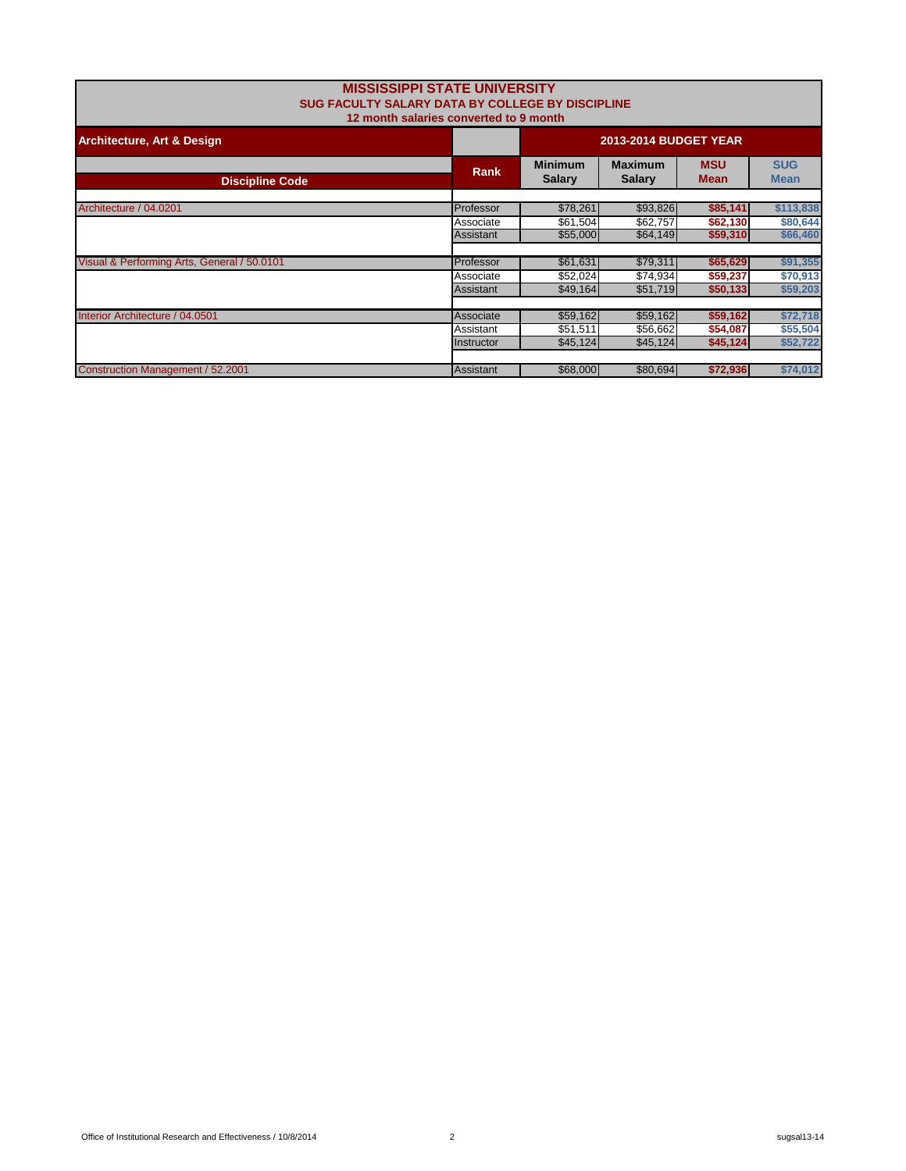| <b>SUG FACULTY SALARY DATA BY COLLEGE BY DISCIPLINE</b> | <b>MISSISSIPPI STATE UNIVERSITY</b><br>12 month salaries converted to 9 month |                                 |                                 |                           |                           |
|---------------------------------------------------------|-------------------------------------------------------------------------------|---------------------------------|---------------------------------|---------------------------|---------------------------|
| <b>Architecture, Art &amp; Design</b>                   | <b>2013-2014 BUDGET YEAR</b>                                                  |                                 |                                 |                           |                           |
| <b>Discipline Code</b>                                  | <b>Rank</b>                                                                   | <b>Minimum</b><br><b>Salary</b> | <b>Maximum</b><br><b>Salary</b> | <b>MSU</b><br><b>Mean</b> | <b>SUG</b><br><b>Mean</b> |
| Architecture / 04.0201                                  | Professor                                                                     | \$78,261                        | \$93,826                        | \$85,141                  | \$113,838                 |
|                                                         | Associate                                                                     | \$61,504                        | \$62,757                        | \$62,130                  | \$80,644                  |
|                                                         | Assistant                                                                     | \$55,000                        | \$64,149                        | \$59,310                  | \$66,460                  |
| Visual & Performing Arts, General / 50.0101             | Professor                                                                     | \$61,631                        | \$79,311                        | \$65,629                  | \$91,355                  |
|                                                         | Associate                                                                     | \$52,024                        | \$74,934                        | \$59,237                  | \$70,913                  |
|                                                         | Assistant                                                                     | \$49,164                        | \$51,719                        | \$50,133                  | \$59,203                  |
| Interior Architecture / 04.0501                         | Associate                                                                     | \$59,162                        | \$59,162                        | \$59,162                  | \$72,718                  |
|                                                         | Assistant                                                                     | \$51,511                        | \$56,662                        | \$54,087                  | \$55,504                  |
|                                                         | Instructor                                                                    | \$45,124                        | \$45,124                        | \$45,124                  | \$52,722                  |
| Construction Management / 52.2001                       | Assistant                                                                     | \$68,000                        | \$80.694                        | \$72,936                  | \$74,012                  |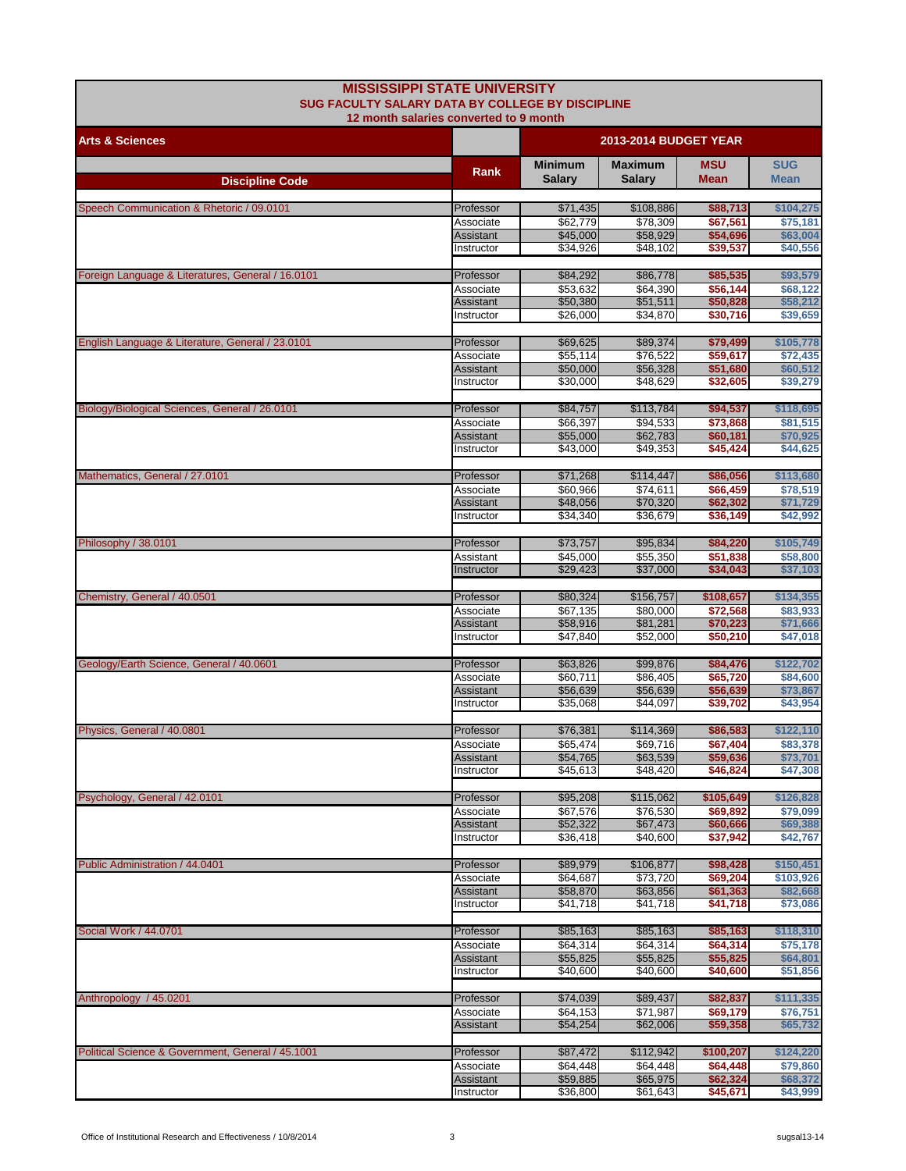| <b>MISSISSIPPI STATE UNIVERSITY</b><br>SUG FACULTY SALARY DATA BY COLLEGE BY DISCIPLINE |                                |                                 |                          |                           |                           |
|-----------------------------------------------------------------------------------------|--------------------------------|---------------------------------|--------------------------|---------------------------|---------------------------|
| 12 month salaries converted to 9 month<br><b>2013-2014 BUDGET YEAR</b>                  |                                |                                 |                          |                           |                           |
| <b>Arts &amp; Sciences</b>                                                              |                                |                                 |                          |                           |                           |
| <b>Discipline Code</b>                                                                  | Rank                           | <b>Minimum</b><br><b>Salary</b> | Maximum<br><b>Salary</b> | <b>MSU</b><br><b>Mean</b> | <b>SUG</b><br><b>Mean</b> |
|                                                                                         |                                |                                 |                          |                           |                           |
| Speech Communication & Rhetoric / 09.0101                                               | Professor                      | \$71,435                        | \$108,886                | \$88,713                  | \$104,275                 |
|                                                                                         | Associate<br><b>Assistant</b>  | \$62,779<br>\$45,000            | \$78,309<br>\$58,929     | \$67,561<br>\$54,696      | \$75,181<br>\$63,004      |
|                                                                                         | Instructor                     | \$34,926                        | \$48,102                 | \$39,537                  | \$40,556                  |
| Foreign Language & Literatures, General / 16.0101                                       | Professor                      | \$84,292                        | \$86,778                 | \$85,535                  | \$93,579                  |
|                                                                                         | Associate                      | \$53,632                        | \$64,390                 | \$56,144                  | \$68,122                  |
|                                                                                         | <b>Assistant</b>               | \$50,380                        | \$51,511                 | \$50,828                  | \$58,212                  |
|                                                                                         | Instructor                     | \$26,000                        | \$34,870                 | \$30,716                  | \$39,659                  |
| English Language & Literature, General / 23.0101                                        | Professor                      | \$69,625                        | \$89,374                 | \$79,499                  | \$105,778                 |
|                                                                                         | Associate                      | \$55,114                        | \$76,522                 | \$59,617                  | \$72,435                  |
|                                                                                         | <b>Assistant</b><br>Instructor | \$50,000<br>\$30,000            | \$56,328<br>\$48,629     | \$51,680<br>\$32,605      | \$60,512<br>\$39,279      |
|                                                                                         |                                |                                 |                          |                           |                           |
| Biology/Biological Sciences, General / 26.0101                                          | Professor<br>Associate         | \$84,757<br>\$66,397            | \$113,784<br>\$94,533    | \$94,537<br>\$73,868      | \$118,695<br>\$81.515     |
|                                                                                         | <b>Assistant</b>               | \$55,000                        | \$62,783                 | \$60,181                  | \$70,925                  |
|                                                                                         | Instructor                     | \$43,000                        | \$49,353                 | \$45,424                  | \$44,625                  |
| Mathematics, General / 27.0101                                                          | Professor                      | \$71,268                        | \$114,447                | \$86,056                  | \$113,680                 |
|                                                                                         | Associate                      | \$60,966                        | \$74,611                 | \$66,459                  | \$78,519                  |
|                                                                                         | <b>Assistant</b>               | \$48,056                        | \$70,320                 | \$62,302                  | \$71,729                  |
|                                                                                         | Instructor                     | \$34,340                        | \$36,679                 | \$36,149                  | \$42,992                  |
| Philosophy / 38.0101                                                                    | Professor                      | \$73,757                        | \$95,834                 | \$84,220                  | \$105,749                 |
|                                                                                         | Assistant<br>Instructor        | \$45,000<br>\$29,423            | \$55,350<br>\$37,000     | \$51,838<br>\$34,043      | \$58,800<br>\$37,103      |
|                                                                                         |                                |                                 |                          |                           |                           |
| Chemistry, General / 40.0501                                                            | Professor                      | \$80,324                        | \$156,757                | \$108,657                 | \$134,355                 |
|                                                                                         | Associate<br>Assistant         | \$67,135<br>\$58,916            | \$80,000<br>\$81,281     | \$72,568<br>\$70,223      | \$83,933<br>\$71,666      |
|                                                                                         | Instructor                     | \$47,840                        | \$52,000                 | \$50,210                  | \$47,018                  |
| Geology/Earth Science, General / 40.0601                                                | Professor                      | \$63,826                        | \$99,876                 | \$84,476                  | \$122,702                 |
|                                                                                         | Associate                      | \$60,711                        | \$86,405                 | \$65,720                  | \$84,600                  |
|                                                                                         | <b>Assistant</b>               | \$56,639                        | \$56,639                 | \$56,639                  | \$73,867                  |
|                                                                                         | Instructor                     | \$35,068                        | \$44,097                 | \$39,702                  | \$43,954                  |
| Physics, General / 40.0801                                                              | Professor                      | \$76,381                        | \$114,369                | \$86,583                  | \$122,110                 |
|                                                                                         | Associate                      | \$65,474                        | \$69,716                 | \$67,404                  | \$83,378                  |
|                                                                                         | Assistant<br>Instructor        | \$54,765<br>\$45,613            | \$63,539<br>\$48,420     | \$59,636<br>\$46,824      | \$73,701<br>\$47,308      |
|                                                                                         |                                |                                 |                          |                           |                           |
| Psychology, General / 42.0101                                                           | Professor                      | \$95,208                        | \$115,062                | \$105,649                 | \$126,828                 |
|                                                                                         | Associate<br><b>Assistant</b>  | \$67,576<br>\$52,322            | \$76,530<br>\$67,473     | \$69,892<br>\$60,666      | \$79,099<br>\$69,388      |
|                                                                                         | Instructor                     | \$36,418                        | \$40,600                 | \$37,942                  | \$42,767                  |
| Public Administration / 44.0401                                                         | Professor                      | \$89,979                        | \$106,877                | \$98,428                  | \$150,451                 |
|                                                                                         | Associate                      | \$64,687                        | \$73,720                 | \$69,204                  | \$103,926                 |
|                                                                                         | Assistant                      | \$58,870                        | \$63,856                 | \$61,363                  | \$82,668                  |
|                                                                                         | Instructor                     | \$41,718                        | \$41,718                 | \$41,718                  | \$73,086                  |
| Social Work / 44.0701                                                                   | Professor                      | \$85,163                        | \$85,163                 | \$85,163                  | \$118,310                 |
|                                                                                         | Associate                      | \$64,314                        | \$64,314                 | \$64,314                  | \$75,178                  |
|                                                                                         | Assistant<br>Instructor        | \$55,825<br>\$40,600            | \$55,825<br>\$40,600     | \$55,825<br>\$40,600      | \$64,801<br>\$51,856      |
|                                                                                         |                                |                                 |                          |                           |                           |
| Anthropology / 45.0201                                                                  | Professor                      | \$74,039                        | \$89,437                 | \$82,837                  | \$111,335                 |
|                                                                                         | Associate<br><b>Assistant</b>  | \$64,153<br>\$54,254            | \$71,987<br>\$62,006     | \$69,179<br>\$59,358      | \$76,751<br>\$65,732      |
|                                                                                         |                                |                                 |                          |                           |                           |
| Political Science & Government, General / 45.1001                                       | Professor                      | \$87,472                        | \$112,942                | \$100,207                 | \$124,220                 |
|                                                                                         | Associate<br>Assistant         | \$64,448<br>\$59,885            | \$64,448<br>\$65,975     | \$64,448<br>\$62,324      | \$79,860<br>\$68,372      |
|                                                                                         | Instructor                     | \$36,800                        | \$61,643                 | \$45,671                  | \$43,999                  |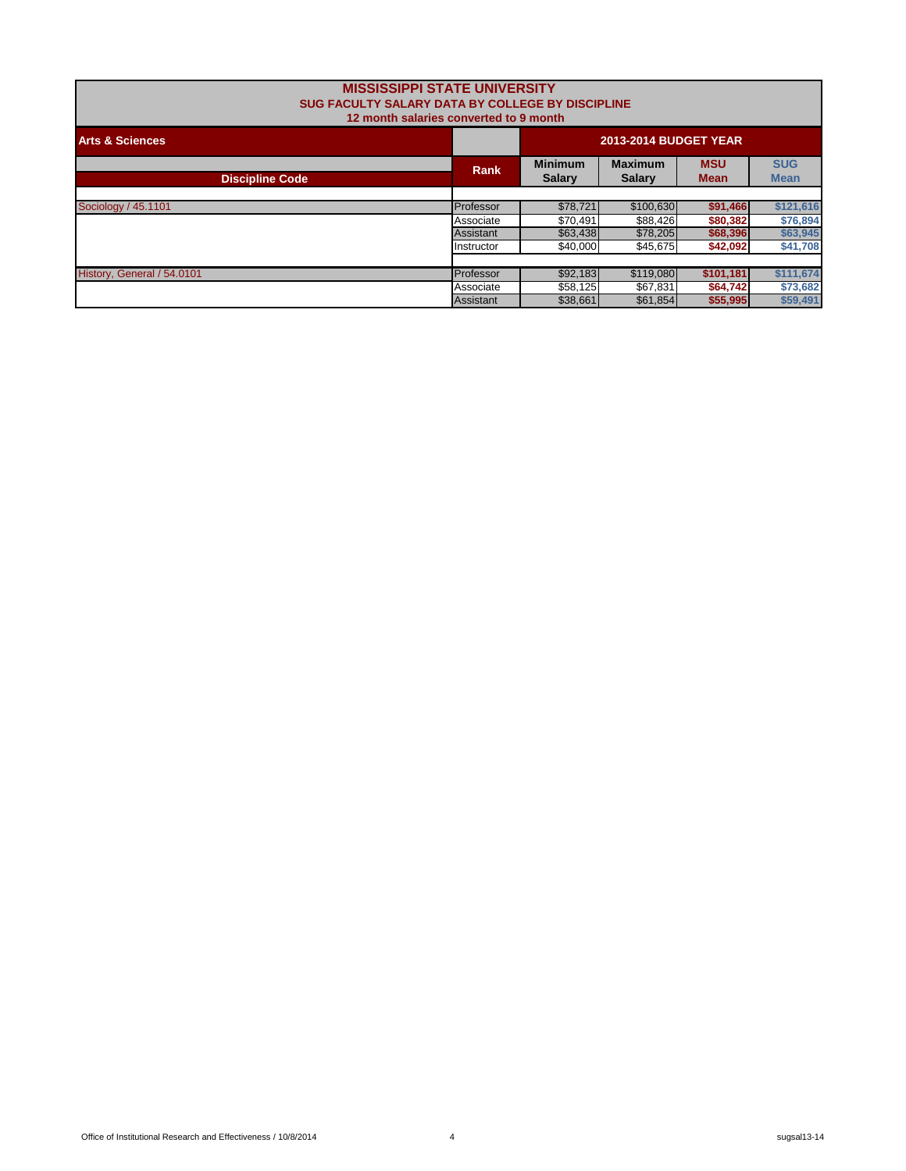| <b>MISSISSIPPI STATE UNIVERSITY</b><br>SUG FACULTY SALARY DATA BY COLLEGE BY DISCIPLINE<br>12 month salaries converted to 9 month |                              |                                 |                                 |                           |                           |  |  |
|-----------------------------------------------------------------------------------------------------------------------------------|------------------------------|---------------------------------|---------------------------------|---------------------------|---------------------------|--|--|
| <b>Arts &amp; Sciences</b>                                                                                                        | <b>2013-2014 BUDGET YEAR</b> |                                 |                                 |                           |                           |  |  |
| <b>Discipline Code</b>                                                                                                            | Rank                         | <b>Minimum</b><br><b>Salary</b> | <b>Maximum</b><br><b>Salary</b> | <b>MSU</b><br><b>Mean</b> | <b>SUG</b><br><b>Mean</b> |  |  |
|                                                                                                                                   |                              |                                 |                                 |                           |                           |  |  |
| Sociology / 45.1101                                                                                                               | Professor                    | \$78.721                        | \$100,630                       | \$91,466                  | \$121,616                 |  |  |
|                                                                                                                                   | Associate                    | \$70.491                        | \$88.426                        | \$80,382                  | \$76,894                  |  |  |
|                                                                                                                                   | Assistant                    | \$63,438                        | \$78,205                        | \$68,396                  | \$63,945                  |  |  |
|                                                                                                                                   | Instructor                   | \$40,000                        | \$45,675                        | \$42,092                  | \$41,708                  |  |  |
|                                                                                                                                   |                              |                                 |                                 |                           |                           |  |  |
| History, General / 54.0101                                                                                                        | Professor                    | \$92,183                        | \$119,080                       | \$101,181                 | \$111,674                 |  |  |
|                                                                                                                                   | Associate                    | \$58,125                        | \$67,831                        | \$64,742                  | \$73,682                  |  |  |
|                                                                                                                                   | Assistant                    | \$38,661                        | \$61,854                        | \$55,995                  | \$59,491                  |  |  |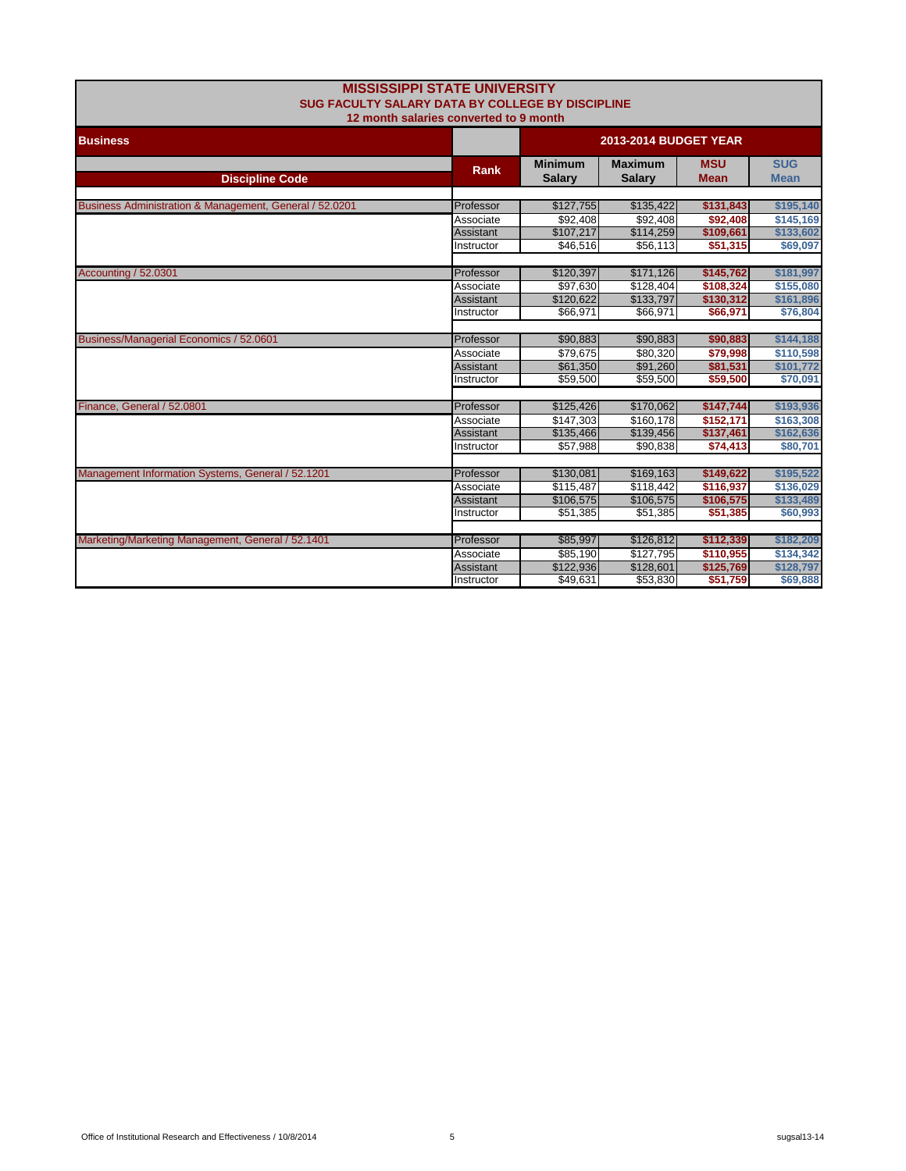| <b>MISSISSIPPI STATE UNIVERSITY</b><br><b>SUG FACULTY SALARY DATA BY COLLEGE BY DISCIPLINE</b><br>12 month salaries converted to 9 month |                                |                                 |                                 |                           |                           |
|------------------------------------------------------------------------------------------------------------------------------------------|--------------------------------|---------------------------------|---------------------------------|---------------------------|---------------------------|
| <b>Business</b>                                                                                                                          |                                |                                 | <b>2013-2014 BUDGET YEAR</b>    |                           |                           |
| <b>Discipline Code</b>                                                                                                                   | Rank                           | <b>Minimum</b><br><b>Salary</b> | <b>Maximum</b><br><b>Salary</b> | <b>MSU</b><br><b>Mean</b> | <b>SUG</b><br><b>Mean</b> |
|                                                                                                                                          |                                |                                 |                                 |                           |                           |
| Business Administration & Management, General / 52.0201                                                                                  | Professor                      | \$127,755                       | \$135,422                       | \$131,843                 | \$195,140                 |
|                                                                                                                                          | Associate                      | \$92,408                        | \$92,408                        | \$92,408                  | \$145,169<br>\$133,602    |
|                                                                                                                                          | <b>Assistant</b><br>Instructor | \$107,217<br>\$46,516           | \$114,259<br>\$56,113           | \$109,661<br>\$51,315     | \$69,097                  |
|                                                                                                                                          |                                |                                 |                                 |                           |                           |
| <b>Accounting / 52.0301</b>                                                                                                              | Professor                      | \$120,397                       | \$171,126                       | \$145,762                 | \$181,997                 |
|                                                                                                                                          | Associate                      | \$97,630                        | \$128,404                       | \$108,324                 | \$155,080                 |
|                                                                                                                                          | <b>Assistant</b>               | \$120,622                       | \$133.797                       | \$130,312                 | \$161.896                 |
|                                                                                                                                          | Instructor                     | \$66,971                        | \$66,971                        | \$66,971                  | \$76,804                  |
|                                                                                                                                          |                                |                                 |                                 |                           |                           |
| Business/Managerial Economics / 52.0601                                                                                                  | Professor                      | \$90,883                        | \$90,883                        | \$90,883                  | \$144,188                 |
|                                                                                                                                          | Associate                      | \$79.675                        | \$80.320                        | \$79,998                  | \$110,598                 |
|                                                                                                                                          | <b>Assistant</b>               | \$61,350                        | \$91,260                        | \$81,531                  | \$101.772                 |
|                                                                                                                                          | Instructor                     | \$59,500                        | \$59,500                        | \$59,500                  | \$70,091                  |
|                                                                                                                                          |                                |                                 |                                 |                           |                           |
| Finance, General / 52.0801                                                                                                               | Professor                      | \$125,426                       | \$170,062                       | \$147,744                 | \$193,936                 |
|                                                                                                                                          | Associate                      | \$147,303                       | \$160,178                       | \$152,171                 | \$163,308                 |
|                                                                                                                                          | Assistant                      | \$135,466                       | \$139,456                       | \$137,461                 | \$162,636                 |
|                                                                                                                                          | Instructor                     | \$57,988                        | \$90,838                        | \$74,413                  | \$80,701                  |
|                                                                                                                                          |                                |                                 |                                 |                           |                           |
| Management Information Systems, General / 52.1201                                                                                        | Professor                      | \$130,081                       | \$169,163                       | \$149,622                 | \$195,522                 |
|                                                                                                                                          | Associate                      | \$115,487                       | \$118,442                       | \$116,937                 | \$136,029                 |
|                                                                                                                                          | <b>Assistant</b>               | \$106,575                       | \$106,575                       | \$106,575                 | \$133,489                 |
|                                                                                                                                          | Instructor                     | \$51,385                        | \$51,385                        | \$51,385                  | \$60,993                  |
|                                                                                                                                          |                                |                                 |                                 |                           |                           |
| Marketing/Marketing Management, General / 52.1401                                                                                        | Professor                      | \$85,997                        | \$126,812                       | \$112,339                 | \$182,209                 |
|                                                                                                                                          | Associate                      | \$85,190                        | \$127,795                       | \$110,955                 | \$134,342                 |
|                                                                                                                                          | <b>Assistant</b>               | \$122,936                       | \$128,601                       | \$125,769                 | \$128,797                 |
|                                                                                                                                          | Instructor                     | \$49,631                        | \$53,830                        | \$51,759                  | \$69,888                  |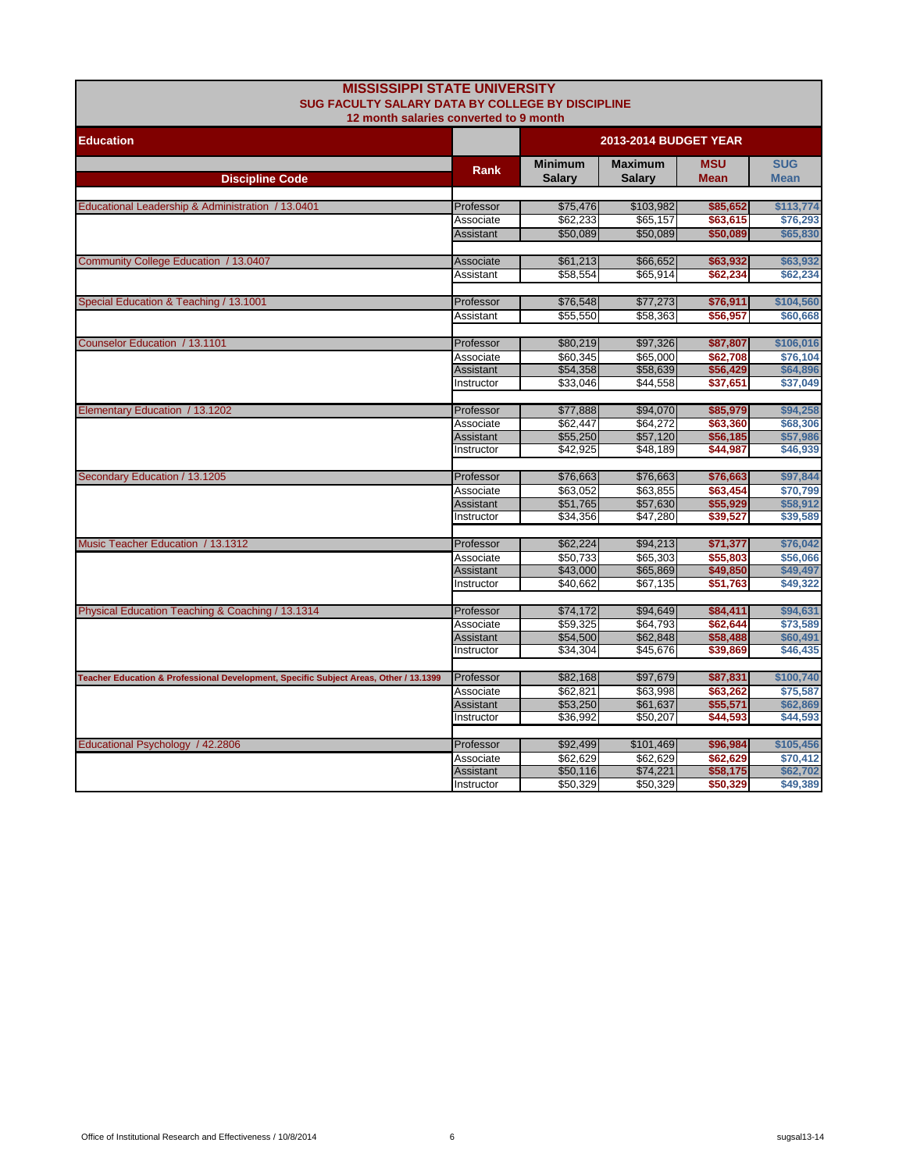| <b>MISSISSIPPI STATE UNIVERSITY</b><br>SUG FACULTY SALARY DATA BY COLLEGE BY DISCIPLINE |                                |                              |                      |                      |                      |  |
|-----------------------------------------------------------------------------------------|--------------------------------|------------------------------|----------------------|----------------------|----------------------|--|
| 12 month salaries converted to 9 month                                                  |                                |                              |                      |                      |                      |  |
| <b>Education</b>                                                                        |                                | <b>2013-2014 BUDGET YEAR</b> |                      |                      |                      |  |
|                                                                                         |                                | <b>Minimum</b>               | <b>Maximum</b>       | <b>MSU</b>           | <b>SUG</b>           |  |
| <b>Discipline Code</b>                                                                  | <b>Rank</b>                    | <b>Salary</b>                | Salary               | <b>Mean</b>          | <b>Mean</b>          |  |
|                                                                                         |                                |                              |                      |                      |                      |  |
| Educational Leadership & Administration / 13.0401                                       | Professor                      | \$75,476                     | \$103,982            | \$85,652             | \$113,774            |  |
|                                                                                         | Associate                      | \$62,233                     | \$65,157             | \$63,615             | \$76,293             |  |
|                                                                                         | Assistant                      | \$50,089                     | \$50,089             | \$50,089             | \$65,830             |  |
| Community College Education / 13.0407                                                   | Associate                      | \$61,213                     | \$66,652             | \$63,932             | \$63,932             |  |
|                                                                                         | Assistant                      | \$58,554                     | \$65,914             | \$62,234             | \$62,234             |  |
|                                                                                         |                                |                              |                      |                      |                      |  |
| Special Education & Teaching / 13.1001                                                  | Professor                      | \$76,548                     | \$77,273             | \$76,911             | \$104,560            |  |
|                                                                                         | Assistant                      | \$55,550                     | \$58,363             | \$56,957             | \$60,668             |  |
|                                                                                         |                                |                              |                      |                      |                      |  |
| Counselor Education / 13.1101                                                           | Professor                      | \$80,219                     | \$97,326             | \$87,807             | \$106,016            |  |
|                                                                                         | Associate                      | \$60,345                     | \$65,000             | \$62,708             | \$76,104             |  |
|                                                                                         | Assistant                      | \$54,358                     | \$58,639             | \$56,429             | \$64,896             |  |
|                                                                                         | Instructor                     | \$33,046                     | \$44,558             | \$37,651             | \$37,049             |  |
| Elementary Education / 13.1202                                                          | Professor                      | \$77,888                     | \$94,070             | \$85,979             | \$94,258             |  |
|                                                                                         | Associate                      | \$62,447                     | \$64,272             | \$63,360             | \$68,306             |  |
|                                                                                         | <b>Assistant</b>               | \$55,250                     | \$57,120             | \$56,185             | \$57,986             |  |
|                                                                                         | Instructor                     | \$42,925                     | \$48,189             | \$44,987             | \$46,939             |  |
|                                                                                         |                                |                              |                      |                      |                      |  |
| Secondary Education / 13.1205                                                           | Professor                      | \$76,663                     | \$76,663             | \$76,663             | \$97,844             |  |
|                                                                                         | Associate                      | \$63,052                     | \$63,855             | \$63,454             | \$70,799             |  |
|                                                                                         | <b>Assistant</b>               | \$51,765                     | \$57,630             | \$55,929             | \$58,912             |  |
|                                                                                         | Instructor                     | \$34,356                     | \$47,280             | \$39,527             | \$39,589             |  |
| Music Teacher Education / 13.1312                                                       |                                | \$62,224                     | \$94,213             |                      | \$76,042             |  |
|                                                                                         | Professor                      | \$50,733                     | \$65,303             | \$71,377<br>\$55,803 | \$56,066             |  |
|                                                                                         | Associate<br><b>Assistant</b>  | \$43,000                     | \$65,869             | \$49,850             | \$49,497             |  |
|                                                                                         | Instructor                     | \$40,662                     | \$67,135             | \$51,763             | \$49,322             |  |
|                                                                                         |                                |                              |                      |                      |                      |  |
| Physical Education Teaching & Coaching / 13.1314                                        | Professor                      | \$74,172                     | \$94,649             | \$84,411             | \$94,631             |  |
|                                                                                         | Associate                      | \$59,325                     | \$64.793             | \$62,644             | \$73,589             |  |
|                                                                                         | Assistant                      | \$54,500                     | \$62,848             | \$58,488             | \$60,491             |  |
|                                                                                         | Instructor                     | \$34,304                     | \$45,676             | \$39,869             | \$46,435             |  |
|                                                                                         |                                |                              |                      |                      |                      |  |
| Teacher Education & Professional Development, Specific Subject Areas, Other / 13.1399   | Professor                      | \$82,168                     | \$97,679             | \$87,831             | \$100,740            |  |
|                                                                                         | Associate                      | \$62,821                     | \$63,998             | \$63,262             | \$75,587             |  |
|                                                                                         | <b>Assistant</b><br>Instructor | \$53,250<br>\$36,992         | \$61,637<br>\$50,207 | \$55,571<br>\$44,593 | \$62,869<br>\$44,593 |  |
|                                                                                         |                                |                              |                      |                      |                      |  |
| Educational Psychology / 42.2806                                                        | Professor                      | \$92,499                     | \$101,469            | \$96,984             | \$105,456            |  |
|                                                                                         | Associate                      | \$62,629                     | \$62,629             | \$62,629             | \$70,412             |  |
|                                                                                         | <b>Assistant</b>               | \$50,116                     | \$74,221             | \$58,175             | \$62,702             |  |
|                                                                                         | Instructor                     | \$50,329                     | \$50,329             | \$50,329             | \$49,389             |  |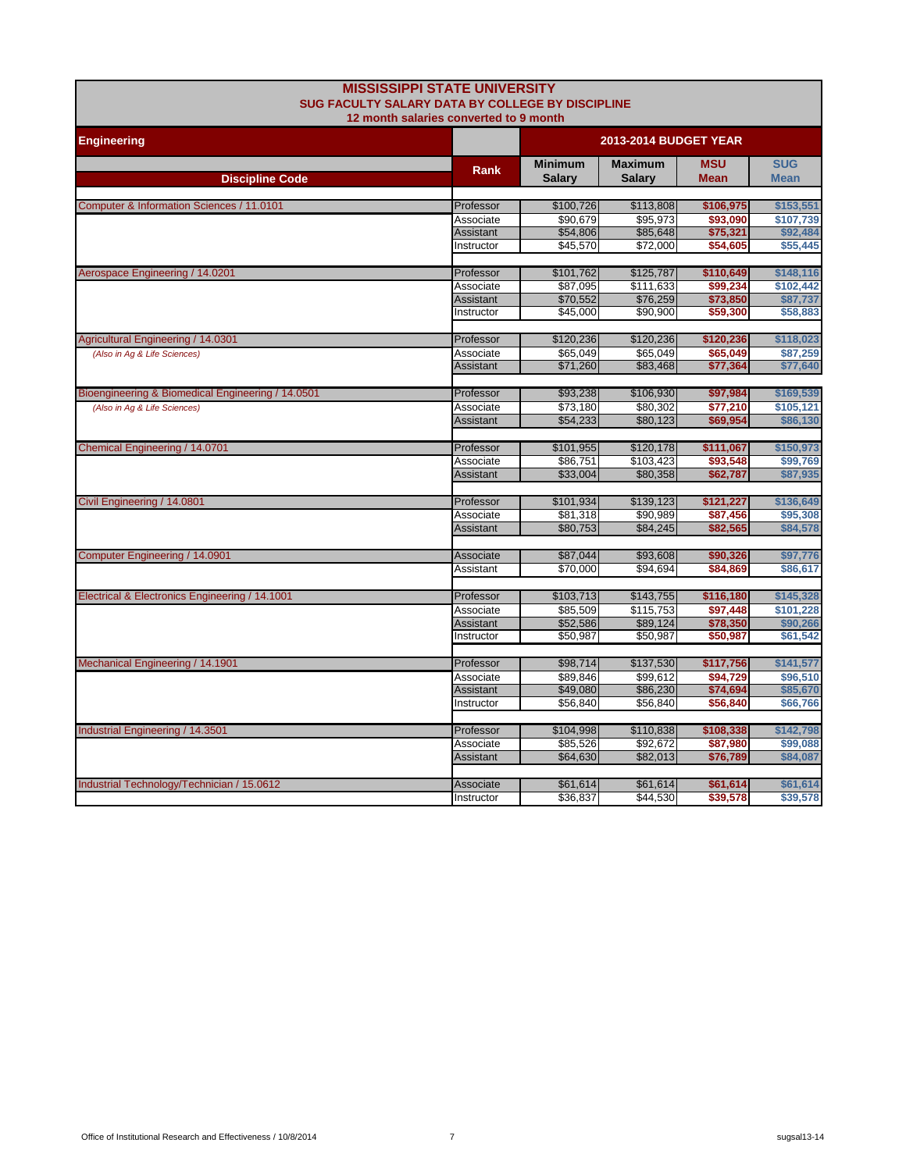| <b>MISSISSIPPI STATE UNIVERSITY</b><br><b>SUG FACULTY SALARY DATA BY COLLEGE BY DISCIPLINE</b><br>12 month salaries converted to 9 month |                  |                                 |                                 |                           |                           |
|------------------------------------------------------------------------------------------------------------------------------------------|------------------|---------------------------------|---------------------------------|---------------------------|---------------------------|
| <b>Engineering</b>                                                                                                                       |                  | <b>2013-2014 BUDGET YEAR</b>    |                                 |                           |                           |
| <b>Discipline Code</b>                                                                                                                   | Rank             | <b>Minimum</b><br><b>Salary</b> | <b>Maximum</b><br><b>Salary</b> | <b>MSU</b><br><b>Mean</b> | <b>SUG</b><br><b>Mean</b> |
|                                                                                                                                          |                  |                                 |                                 |                           |                           |
| Computer & Information Sciences / 11.0101                                                                                                | Professor        | \$100,726                       | \$113,808                       | \$106,975                 | \$153,551                 |
|                                                                                                                                          | Associate        | \$90,679                        | \$95,973                        | \$93,090                  | \$107,739                 |
|                                                                                                                                          | <b>Assistant</b> | \$54,806                        | \$85,648                        | \$75,321                  | \$92,484                  |
|                                                                                                                                          | Instructor       | \$45,570                        | \$72,000                        | \$54,605                  | \$55,445                  |
| Aerospace Engineering / 14.0201                                                                                                          | Professor        | \$101,762                       | \$125,787                       | \$110,649                 | \$148,116                 |
|                                                                                                                                          | Associate        | \$87,095                        | \$111,633                       | \$99,234                  | \$102,442                 |
|                                                                                                                                          | Assistant        | \$70,552                        | \$76,259                        | \$73,850                  | \$87,737                  |
|                                                                                                                                          | Instructor       | \$45,000                        | \$90,900                        | \$59,300                  | \$58,883                  |
| Agricultural Engineering / 14.0301                                                                                                       | Professor        | \$120,236                       | \$120,236                       | \$120,236                 | \$118,023                 |
| (Also in Ag & Life Sciences)                                                                                                             | Associate        | \$65,049                        | \$65,049                        | \$65,049                  | \$87,259                  |
|                                                                                                                                          | Assistant        | \$71,260                        | \$83,468                        | \$77,364                  | \$77,640                  |
| Bioengineering & Biomedical Engineering / 14.0501                                                                                        | Professor        | \$93,238                        | \$106,930                       | \$97,984                  | \$169,539                 |
| (Also in Ag & Life Sciences)                                                                                                             | Associate        | \$73,180                        | \$80,302                        | \$77,210                  | \$105,121                 |
|                                                                                                                                          | Assistant        | \$54,233                        | \$80,123                        | \$69,954                  | \$86,130                  |
|                                                                                                                                          |                  |                                 |                                 |                           |                           |
| Chemical Engineering / 14.0701                                                                                                           | Professor        | \$101,955                       | \$120,178                       | \$111,067                 | \$150,973                 |
|                                                                                                                                          | Associate        | \$86,751                        | \$103,423                       | \$93,548                  | \$99,769                  |
|                                                                                                                                          | <b>Assistant</b> | \$33,004                        | \$80,358                        | \$62,787                  | \$87,935                  |
| Civil Engineering / 14.0801                                                                                                              | Professor        | \$101,934                       | \$139,123                       | \$121,227                 | \$136,649                 |
|                                                                                                                                          | Associate        | \$81,318                        | \$90,989                        | \$87,456                  | \$95,308                  |
|                                                                                                                                          | <b>Assistant</b> | \$80,753                        | \$84,245                        | \$82,565                  | \$84,578                  |
| Computer Engineering / 14.0901                                                                                                           | Associate        | \$87,044                        | \$93,608                        | \$90,326                  | \$97,776                  |
|                                                                                                                                          | Assistant        | \$70,000                        | \$94,694                        | \$84,869                  | \$86,617                  |
|                                                                                                                                          |                  |                                 |                                 |                           |                           |
| Electrical & Electronics Engineering / 14.1001                                                                                           | Professor        | \$103,713                       | \$143,755                       | \$116,180                 | \$145,328                 |
|                                                                                                                                          | Associate        | \$85,509                        | \$115,753                       | \$97,448                  | \$101,228                 |
|                                                                                                                                          | Assistant        | \$52,586                        | \$89,124                        | \$78,350                  | \$90,266                  |
|                                                                                                                                          | Instructor       | \$50,987                        | \$50,987                        | \$50,987                  | \$61,542                  |
| Mechanical Engineering / 14.1901                                                                                                         | Professor        | \$98,714                        | \$137,530                       | \$117,756                 | \$141,577                 |
|                                                                                                                                          | Associate        | \$89,846                        | \$99,612                        | \$94,729                  | \$96,510                  |
|                                                                                                                                          | <b>Assistant</b> | \$49,080                        | \$86,230                        | \$74,694                  | \$85,670                  |
|                                                                                                                                          | Instructor       | \$56,840                        | \$56,840                        | \$56,840                  | \$66,766                  |
| Industrial Engineering / 14.3501                                                                                                         | Professor        | \$104,998                       | \$110,838                       | \$108,338                 | \$142,798                 |
|                                                                                                                                          | Associate        | \$85,526                        | \$92,672                        | \$87,980                  | \$99,088                  |
|                                                                                                                                          | <b>Assistant</b> | \$64,630                        | \$82,013                        | \$76,789                  | \$84,087                  |
|                                                                                                                                          |                  |                                 |                                 |                           |                           |
| Industrial Technology/Technician / 15.0612                                                                                               | Associate        | \$61,614                        | \$61,614                        | \$61,614                  | \$61,614                  |
|                                                                                                                                          | Instructor       | \$36,837                        | \$44,530                        | \$39,578                  | \$39,578                  |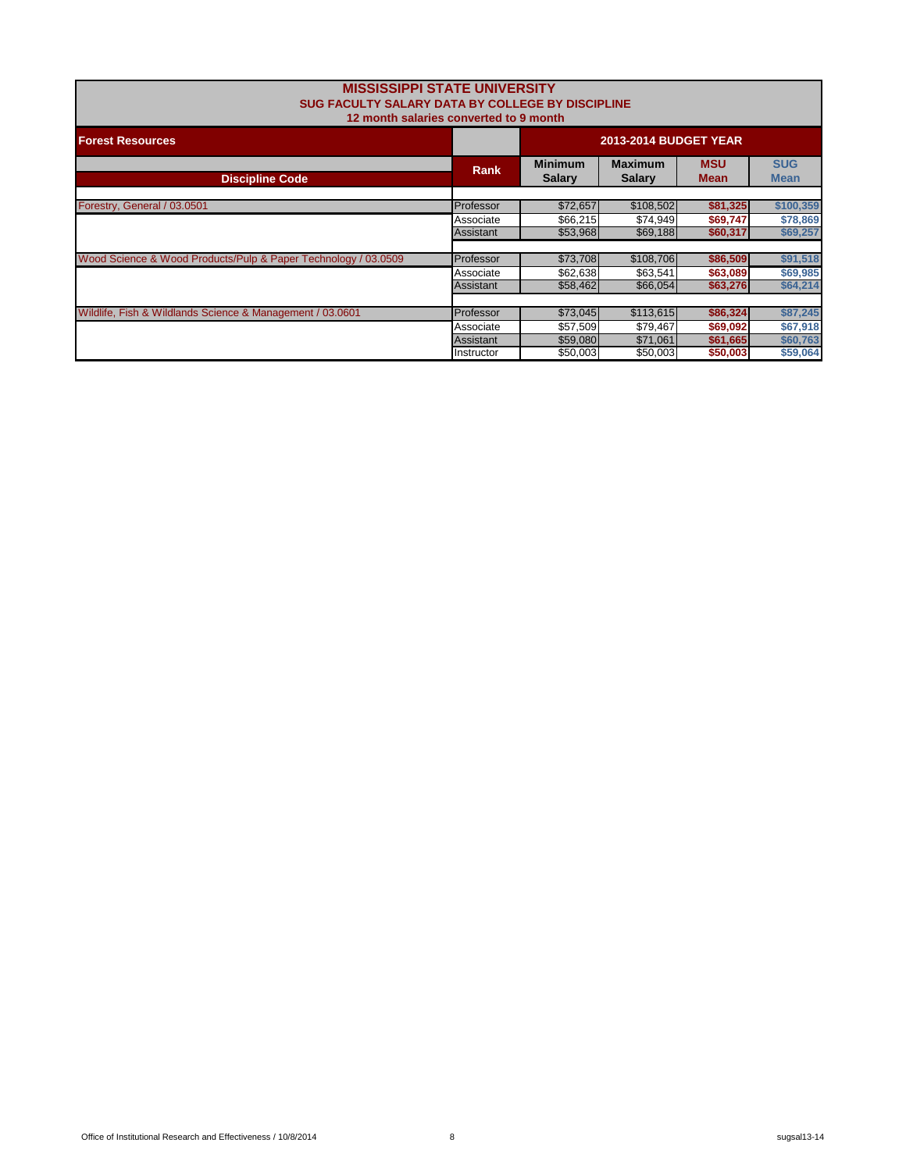| <b>MISSISSIPPI STATE UNIVERSITY</b><br>SUG FACULTY SALARY DATA BY COLLEGE BY DISCIPLINE<br>12 month salaries converted to 9 month |                              |                                 |                                 |                           |                           |  |
|-----------------------------------------------------------------------------------------------------------------------------------|------------------------------|---------------------------------|---------------------------------|---------------------------|---------------------------|--|
| <b>Forest Resources</b>                                                                                                           | <b>2013-2014 BUDGET YEAR</b> |                                 |                                 |                           |                           |  |
| <b>Discipline Code</b>                                                                                                            | <b>Rank</b>                  | <b>Minimum</b><br><b>Salary</b> | <b>Maximum</b><br><b>Salary</b> | <b>MSU</b><br><b>Mean</b> | <b>SUG</b><br><b>Mean</b> |  |
| Forestry, General / 03.0501                                                                                                       | Professor                    | \$72,657                        | \$108,502                       | \$81,325                  | \$100,359                 |  |
|                                                                                                                                   | Associate                    | \$66,215                        | \$74,949                        | \$69,747                  | \$78,869                  |  |
|                                                                                                                                   | Assistant                    | \$53,968                        | \$69,188                        | \$60,317                  | \$69,257                  |  |
| Wood Science & Wood Products/Pulp & Paper Technology / 03.0509                                                                    | Professor                    | \$73,708                        | \$108,706                       | \$86,509                  | \$91,518                  |  |
|                                                                                                                                   | Associate                    | \$62,638                        | \$63,541                        | \$63,089                  | \$69,985                  |  |
|                                                                                                                                   | Assistant                    | \$58,462                        | \$66,054                        | \$63,276                  | \$64,214                  |  |
|                                                                                                                                   |                              |                                 |                                 |                           |                           |  |
| Wildlife, Fish & Wildlands Science & Management / 03.0601                                                                         | Professor                    | \$73,045                        | \$113,615                       | \$86,324                  | \$87,245                  |  |
|                                                                                                                                   | Associate                    | \$57,509                        | \$79,467                        | \$69,092                  | \$67,918                  |  |
|                                                                                                                                   | <b>Assistant</b>             | \$59,080                        | \$71,061                        | \$61,665                  | \$60,763                  |  |
|                                                                                                                                   | Instructor                   | \$50,003                        | \$50,003                        | \$50,003                  | \$59,064                  |  |